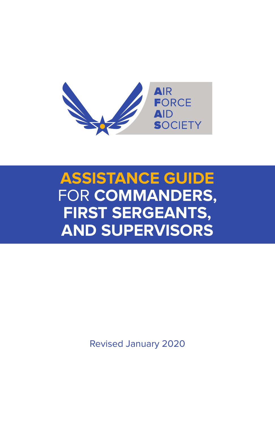

# **ASSISTANCE GUIDE** FOR **COMMANDERS, FIRST SERGEANTS, AND SUPERVISORS**

Revised January 2020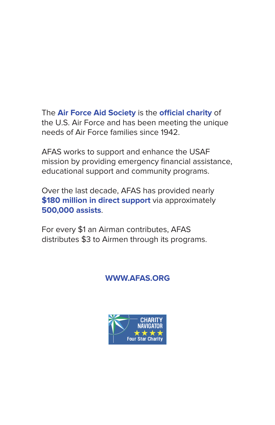The **Air Force Aid Society** is the **official charity** of the U.S. Air Force and has been meeting the unique needs of Air Force families since 1942.

AFAS works to support and enhance the USAF mission by providing emergency financial assistance, educational support and community programs.

Over the last decade, AFAS has provided nearly **\$180 million in direct support** via approximately **500,000 assists**.

For every \$1 an Airman contributes, AFAS distributes \$3 to Airmen through its programs.

### **WWW.AFAS.ORG**

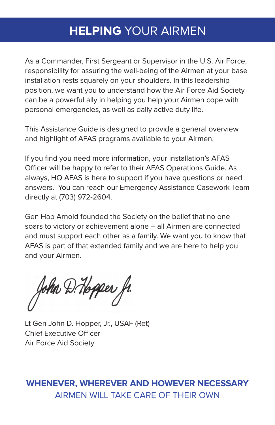# **HELPING** YOUR AIRMEN

As a Commander, First Sergeant or Supervisor in the U.S. Air Force, responsibility for assuring the well-being of the Airmen at your base installation rests squarely on your shoulders. In this leadership position, we want you to understand how the Air Force Aid Society can be a powerful ally in helping you help your Airmen cope with personal emergencies, as well as daily active duty life.

This Assistance Guide is designed to provide a general overview and highlight of AFAS programs available to your Airmen.

If you find you need more information, your installation's AFAS Officer will be happy to refer to their AFAS Operations Guide. As always, HQ AFAS is here to support if you have questions or need answers. You can reach our Emergency Assistance Casework Team directly at (703) 972-2604.

Gen Hap Arnold founded the Society on the belief that no one soars to victory or achievement alone – all Airmen are connected and must support each other as a family. We want you to know that AFAS is part of that extended family and we are here to help you and your Airmen.

John D. Hopper fr.

Lt Gen John D. Hopper, Jr., USAF (Ret) Chief Executive Officer Air Force Aid Society

### **WHENEVER, WHEREVER AND HOWEVER NECESSARY** AIRMEN WILL TAKE CARE OF THEIR OWN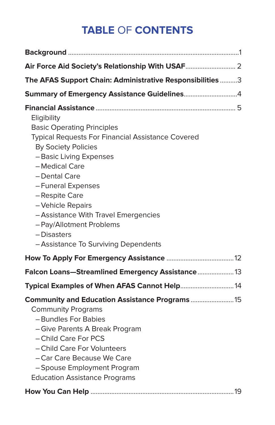# **TABLE** OF **CONTENTS**

| The AFAS Support Chain: Administrative Responsibilities 3                                                                                                                                                                                                                                                                                                                                       |
|-------------------------------------------------------------------------------------------------------------------------------------------------------------------------------------------------------------------------------------------------------------------------------------------------------------------------------------------------------------------------------------------------|
|                                                                                                                                                                                                                                                                                                                                                                                                 |
| Eligibility<br><b>Basic Operating Principles</b><br><b>Typical Requests For Financial Assistance Covered</b><br><b>By Society Policies</b><br>- Basic Living Expenses<br>- Medical Care<br>- Dental Care<br>- Funeral Expenses<br>-Respite Care<br>- Vehicle Repairs<br>- Assistance With Travel Emergencies<br>- Pay/Allotment Problems<br>- Disasters<br>- Assistance To Surviving Dependents |
|                                                                                                                                                                                                                                                                                                                                                                                                 |
| Falcon Loans-Streamlined Emergency Assistance 13                                                                                                                                                                                                                                                                                                                                                |
| Typical Examples of When AFAS Cannot Help 14                                                                                                                                                                                                                                                                                                                                                    |
| Community and Education Assistance Programs  15<br><b>Community Programs</b><br>- Bundles For Babies<br>- Give Parents A Break Program<br>- Child Care For PCS<br>- Child Care For Volunteers<br>- Car Care Because We Care<br>- Spouse Employment Program<br><b>Education Assistance Programs</b>                                                                                              |
|                                                                                                                                                                                                                                                                                                                                                                                                 |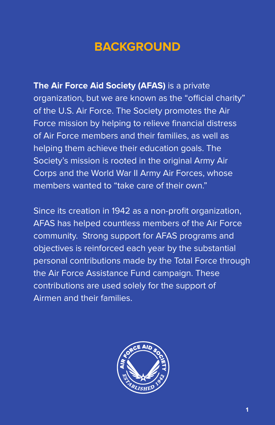# **BACKGROUND**

**The Air Force Aid Society (AFAS)** is a private organization, but we are known as the "official charity" of the U.S. Air Force. The Society promotes the Air Force mission by helping to relieve financial distress of Air Force members and their families, as well as helping them achieve their education goals. The Society's mission is rooted in the original Army Air Corps and the World War II Army Air Forces, whose members wanted to "take care of their own."

Since its creation in 1942 as a non-profit organization, AFAS has helped countless members of the Air Force community. Strong support for AFAS programs and objectives is reinforced each year by the substantial personal contributions made by the Total Force through the Air Force Assistance Fund campaign. These contributions are used solely for the support of Airmen and their families.

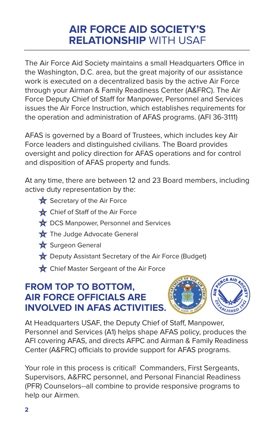## **AIR FORCE AID SOCIETY'S RELATIONSHIP** WITH USAF

The Air Force Aid Society maintains a small Headquarters Office in the Washington, D.C. area, but the great majority of our assistance work is executed on a decentralized basis by the active Air Force through your Airman & Family Readiness Center (A&FRC). The Air Force Deputy Chief of Staff for Manpower, Personnel and Services issues the Air Force Instruction, which establishes requirements for the operation and administration of AFAS programs. (AFI 36-3111)

AFAS is governed by a Board of Trustees, which includes key Air Force leaders and distinguished civilians. The Board provides oversight and policy direction for AFAS operations and for control and disposition of AFAS property and funds.

At any time, there are between 12 and 23 Board members, including active duty representation by the:

- $\bigstar$  Secretary of the Air Force
- Chief of Staff of the Air Force
- DCS Manpower, Personnel and Services
- The Judge Advocate General
- Surgeon General
- **C** Deputy Assistant Secretary of the Air Force (Budget)
- Chief Master Sergeant of the Air Force

### **FROM TOP TO BOTTOM, AIR FORCE OFFICIALS ARE INVOLVED IN AFAS ACTIVITIES.**



At Headquarters USAF, the Deputy Chief of Staff, Manpower, Personnel and Services (A1) helps shape AFAS policy, produces the AFI covering AFAS, and directs AFPC and Airman & Family Readiness Center (A&FRC) officials to provide support for AFAS programs.

Your role in this process is critical! Commanders, First Sergeants, Supervisors, A&FRC personnel, and Personal Financial Readiness (PFR) Counselors--all combine to provide responsive programs to help our Airmen.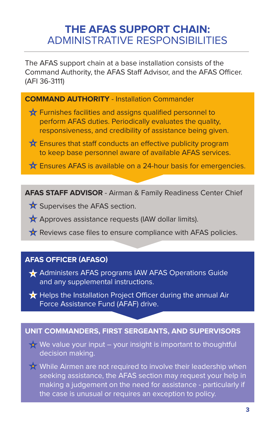### **THE AFAS SUPPORT CHAIN:** ADMINISTRATIVE RESPONSIBILITIES

The AFAS support chain at a base installation consists of the Command Authority, the AFAS Staff Advisor, and the AFAS Officer. (AFI 36-3111)

#### **COMMAND AUTHORITY** - Installation Commander

- $\bigstar$  Furnishes facilities and assigns qualified personnel to perform AFAS duties. Periodically evaluates the quality, responsiveness, and credibility of assistance being given.
- $\bigstar$  Ensures that staff conducts an effective publicity program to keep base personnel aware of available AFAS services.
- **A** Ensures AFAS is available on a 24-hour basis for emergencies.

**AFAS STAFF ADVISOR** - Airman & Family Readiness Center Chief

- Supervises the AFAS section.
- $\bigstar$  Approves assistance requests (IAW dollar limits).
- $\bigstar$  Reviews case files to ensure compliance with AFAS policies.

#### **AFAS OFFICER (AFASO)**

- **★** Administers AFAS programs IAW AFAS Operations Guide and any supplemental instructions.
- $\bigstar$  Helps the Installation Project Officer during the annual Air Force Assistance Fund (AFAF) drive.

#### **UNIT COMMANDERS, FIRST SERGEANTS, AND SUPERVISORS**

We value your input – your insight is important to thoughtful decision making.

While Airmen are not required to involve their leadership when seeking assistance, the AFAS section may request your help in making a judgement on the need for assistance - particularly if the case is unusual or requires an exception to policy.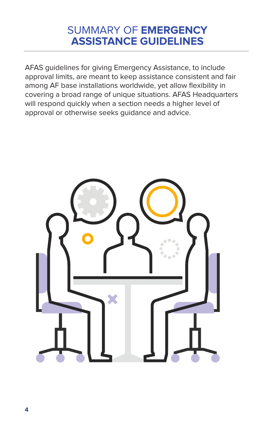### SUMMARY OF **EMERGENCY ASSISTANCE GUIDELINES**

AFAS guidelines for giving Emergency Assistance, to include approval limits, are meant to keep assistance consistent and fair among AF base installations worldwide, yet allow flexibility in covering a broad range of unique situations. AFAS Headquarters will respond quickly when a section needs a higher level of approval or otherwise seeks guidance and advice.

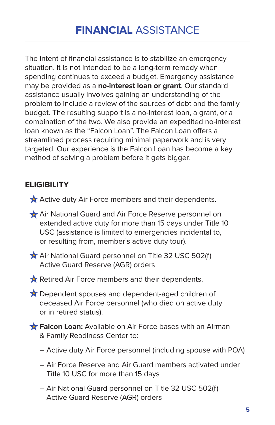The intent of financial assistance is to stabilize an emergency situation. It is not intended to be a long-term remedy when spending continues to exceed a budget. Emergency assistance may be provided as a **no-interest loan or grant**. Our standard assistance usually involves gaining an understanding of the problem to include a review of the sources of debt and the family budget. The resulting support is a no-interest loan, a grant, or a combination of the two. We also provide an expedited no-interest loan known as the "Falcon Loan". The Falcon Loan offers a streamlined process requiring minimal paperwork and is very targeted. Our experience is the Falcon Loan has become a key method of solving a problem before it gets bigger.

### **ELIGIBILITY**

- Active duty Air Force members and their dependents.
- Air National Guard and Air Force Reserve personnel on extended active duty for more than 15 days under Title 10 USC (assistance is limited to emergencies incidental to, or resulting from, member's active duty tour).

Air National Guard personnel on Title 32 USC 502(f) Active Guard Reserve (AGR) orders

Retired Air Force members and their dependents.

★ Dependent spouses and dependent-aged children of deceased Air Force personnel (who died on active duty or in retired status).

**Falcon Loan:** Available on Air Force bases with an Airman & Family Readiness Center to:

- Active duty Air Force personnel (including spouse with POA)
- Air Force Reserve and Air Guard members activated under Title 10 USC for more than 15 days
- Air National Guard personnel on Title 32 USC 502(f) Active Guard Reserve (AGR) orders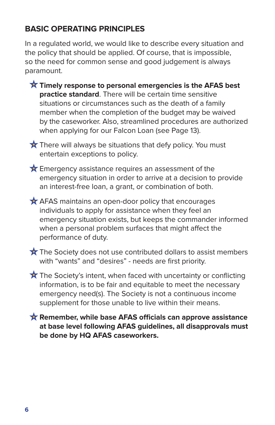### **BASIC OPERATING PRINCIPLES**

In a regulated world, we would like to describe every situation and the policy that should be applied. Of course, that is impossible, so the need for common sense and good judgement is always paramount.

- **Timely response to personal emergencies is the AFAS best practice standard**. There will be certain time sensitive situations or circumstances such as the death of a family member when the completion of the budget may be waived by the caseworker. Also, streamlined procedures are authorized when applying for our Falcon Loan (see Page 13).
- $\bigstar$  There will always be situations that defy policy. You must entertain exceptions to policy.
- **Emergency assistance requires an assessment of the** emergency situation in order to arrive at a decision to provide an interest-free loan, a grant, or combination of both.
- $\bigstar$  AFAS maintains an open-door policy that encourages individuals to apply for assistance when they feel an emergency situation exists, but keeps the commander informed when a personal problem surfaces that might affect the performance of duty.
- $\bigstar$  The Society does not use contributed dollars to assist members with "wants" and "desires" - needs are first priority.
- $\bigstar$  The Society's intent, when faced with uncertainty or conflicting information, is to be fair and equitable to meet the necessary emergency need(s). The Society is not a continuous income supplement for those unable to live within their means.
- **Remember, while base AFAS officials can approve assistance at base level following AFAS guidelines, all disapprovals must be done by HQ AFAS caseworkers.**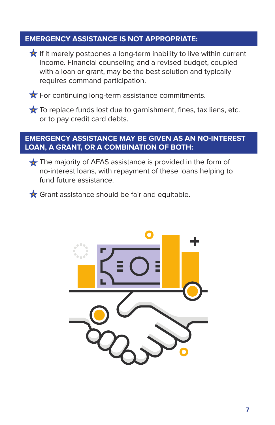#### **EMERGENCY ASSISTANCE IS NOT APPROPRIATE:**

If it merely postpones a long-term inability to live within current income. Financial counseling and a revised budget, coupled with a loan or grant, may be the best solution and typically requires command participation.

 $\bigstar$  For continuing long-term assistance commitments.

 $\star$  To replace funds lost due to garnishment, fines, tax liens, etc. or to pay credit card debts.

#### **EMERGENCY ASSISTANCE MAY BE GIVEN AS AN NO-INTEREST LOAN, A GRANT, OR A COMBINATION OF BOTH:**

The majority of AFAS assistance is provided in the form of no-interest loans, with repayment of these loans helping to fund future assistance.

Grant assistance should be fair and equitable.

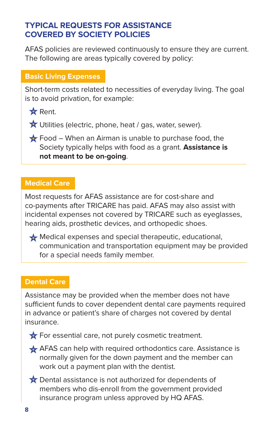#### **TYPICAL REQUESTS FOR ASSISTANCE COVERED BY SOCIETY POLICIES**

AFAS policies are reviewed continuously to ensure they are current. The following are areas typically covered by policy:

#### **Basic Living Expenses**

Short-term costs related to necessities of everyday living. The goal is to avoid privation, for example:

**x** Rent.

 $\bigstar$  Utilities (electric, phone, heat / gas, water, sewer).

 $\bigstar$  Food – When an Airman is unable to purchase food, the Society typically helps with food as a grant. **Assistance is not meant to be on-going**.

#### **Medical Care**

Most requests for AFAS assistance are for cost-share and co-payments after TRICARE has paid. AFAS may also assist with incidental expenses not covered by TRICARE such as eyeglasses, hearing aids, prosthetic devices, and orthopedic shoes.

Medical expenses and special therapeutic, educational, communication and transportation equipment may be provided for a special needs family member.

#### **Dental Care**

Assistance may be provided when the member does not have sufficient funds to cover dependent dental care payments required in advance or patient's share of charges not covered by dental insurance.



 $\bigstar$  For essential care, not purely cosmetic treatment.

 $\triangle$  AFAS can help with required orthodontics care. Assistance is normally given for the down payment and the member can work out a payment plan with the dentist.

 $\bigstar$  Dental assistance is not authorized for dependents of members who dis-enroll from the government provided insurance program unless approved by HQ AFAS.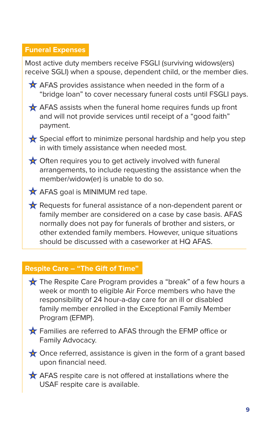#### **Funeral Expenses**

Most active duty members receive FSGLI (surviving widows(ers) receive SGLI) when a spouse, dependent child, or the member dies.  $\bigstar$  AFAS provides assistance when needed in the form of a "bridge loan" to cover necessary funeral costs until FSGLI pays.  $\bigstar$  AFAS assists when the funeral home requires funds up front and will not provide services until receipt of a "good faith" payment.  $\bigstar$  Special effort to minimize personal hardship and help you step in with timely assistance when needed most.  $\bigstar$  Often requires you to get actively involved with funeral arrangements, to include requesting the assistance when the member/widow(er) is unable to do so. **A** AFAS goal is MINIMUM red tape. Requests for funeral assistance of a non-dependent parent or family member are considered on a case by case basis. AFAS normally does not pay for funerals of brother and sisters, or other extended family members. However, unique situations should be discussed with a caseworker at HQ AFAS.

#### **Respite Care – "The Gift of Time"**

- The Respite Care Program provides a "break" of a few hours a week or month to eligible Air Force members who have the responsibility of 24 hour-a-day care for an ill or disabled family member enrolled in the Exceptional Family Member Program (EFMP).
- **T** Families are referred to AFAS through the EFMP office or Family Advocacy.
- ◆ Once referred, assistance is given in the form of a grant based upon financial need.
- AFAS respite care is not offered at installations where the USAF respite care is available.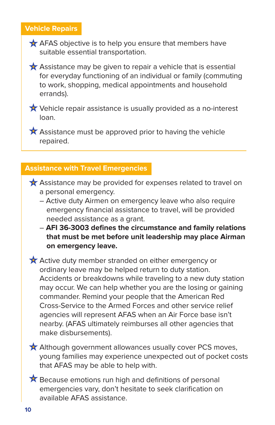#### **Vehicle Repairs**

- $\bigstar$  AFAS objective is to help you ensure that members have suitable essential transportation.
- $\bigstar$  Assistance may be given to repair a vehicle that is essential for everyday functioning of an individual or family (commuting to work, shopping, medical appointments and household errands).
- $\bigstar$  Vehicle repair assistance is usually provided as a no-interest loan.

 $\bigstar$  Assistance must be approved prior to having the vehicle repaired.

#### **Assistance with Travel Emergencies**

- $\bigstar$  Assistance may be provided for expenses related to travel on a personal emergency.
	- Active duty Airmen on emergency leave who also require emergency financial assistance to travel, will be provided needed assistance as a grant.
	- **AFI 36-3003 defines the circumstance and family relations that must be met before unit leadership may place Airman on emergency leave.**

 $\bigstar$  Active duty member stranded on either emergency or ordinary leave may be helped return to duty station. Accidents or breakdowns while traveling to a new duty station may occur. We can help whether you are the losing or gaining commander. Remind your people that the American Red Cross-Service to the Armed Forces and other service relief agencies will represent AFAS when an Air Force base isn't nearby. (AFAS ultimately reimburses all other agencies that make disbursements).

 $\bigstar$  Although government allowances usually cover PCS moves, young families may experience unexpected out of pocket costs that AFAS may be able to help with.

 $\bigstar$  Because emotions run high and definitions of personal emergencies vary, don't hesitate to seek clarification on available AFAS assistance.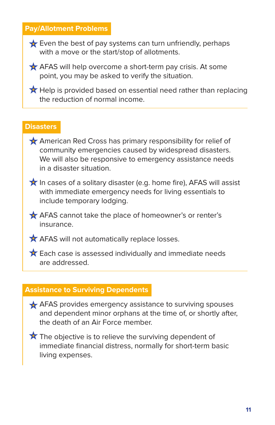#### **Pay/Allotment Problems**

 $\bigstar$  Even the best of pay systems can turn unfriendly, perhaps with a move or the start/stop of allotments.

**AFAS** will help overcome a short-term pay crisis. At some point, you may be asked to verify the situation.

 $\bigstar$  Help is provided based on essential need rather than replacing the reduction of normal income.

#### **Disasters**

- American Red Cross has primary responsibility for relief of community emergencies caused by widespread disasters. We will also be responsive to emergency assistance needs in a disaster situation.
- $\bigstar$  In cases of a solitary disaster (e.g. home fire), AFAS will assist with immediate emergency needs for living essentials to include temporary lodging.
- AFAS cannot take the place of homeowner's or renter's insurance.
- **AFAS** will not automatically replace losses.
- $\bigstar$  Each case is assessed individually and immediate needs are addressed.

#### **Assistance to Surviving Dependents**

- $\bigstar$  AFAS provides emergency assistance to surviving spouses and dependent minor orphans at the time of, or shortly after, the death of an Air Force member.
- $\star$  The objective is to relieve the surviving dependent of immediate financial distress, normally for short-term basic living expenses.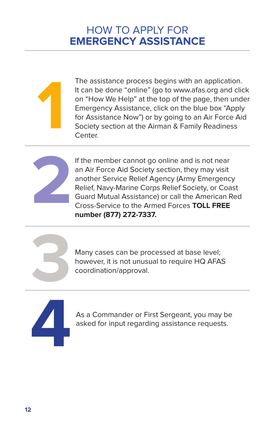



If the member cannot go online and is not near an Air Force Aid Society section, they may visit another Service Relief Agency (Army Emergency Relief, Navy-Marine Corps Relief Society, or Coast Guard Mutual Assistance) or call the American Red Cross-Service to the Armed Forces **TOLL FREE number (877) 272-7337.**

Many cases can be processed at base level; however, it is not unusual to require HQ AFAS coordination/approval.



As a Commander or First Sergeant, you may be asked for input regarding assistance requests.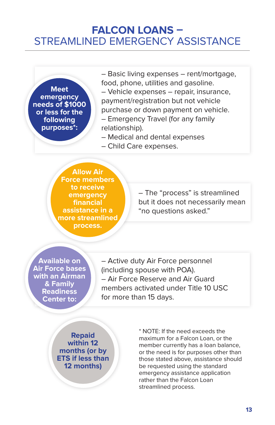### **FALCON LOANS –** STREAMLINED EMERGENCY ASSISTANCE

**Meet emergency needs of \$1000 or less for the following purposes\*:**

– Basic living expenses – rent/mortgage, food, phone, utilities and gasoline.

– Vehicle expenses – repair, insurance, payment/registration but not vehicle purchase or down payment on vehicle.

– Emergency Travel (for any family relationship).

- Medical and dental expenses
- Child Care expenses.

**Allow Air Force members to receive emergency financial assistance in a more streamlined process.**

– The "process" is streamlined but it does not necessarily mean "no questions asked."

**Available on Air Force bases with an Airman & Family Readiness Center to:**

– Active duty Air Force personnel (including spouse with POA). – Air Force Reserve and Air Guard members activated under Title 10 USC for more than 15 days.

**Repaid within 12 months (or by ETS if less than 12 months)**

\* NOTE: If the need exceeds the maximum for a Falcon Loan, or the member currently has a loan balance, or the need is for purposes other than those stated above, assistance should be requested using the standard emergency assistance application rather than the Falcon Loan streamlined process.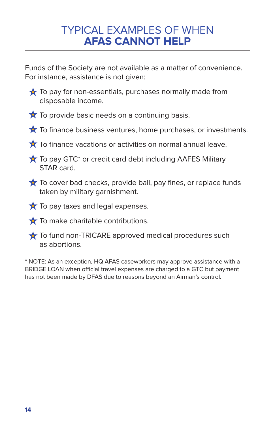### TYPICAL EXAMPLES OF WHEN **AFAS CANNOT HELP**

Funds of the Society are not available as a matter of convenience. For instance, assistance is not given:

- $\bigstar$  To pay for non-essentials, purchases normally made from disposable income.
- $\bigstar$  To provide basic needs on a continuing basis.
- $\star$  To finance business ventures, home purchases, or investments.
- $\bigstar$  To finance vacations or activities on normal annual leave.
- $\bigstar$  To pay GTC\* or credit card debt including AAFES Military STAR card.
- $\bigstar$  To cover bad checks, provide bail, pay fines, or replace funds taken by military garnishment.
- $\bigstar$  To pay taxes and legal expenses.
- To make charitable contributions.
- $\bigstar$  To fund non-TRICARE approved medical procedures such as abortions.

\* NOTE: As an exception, HQ AFAS caseworkers may approve assistance with a BRIDGE LOAN when official travel expenses are charged to a GTC but payment has not been made by DFAS due to reasons beyond an Airman's control.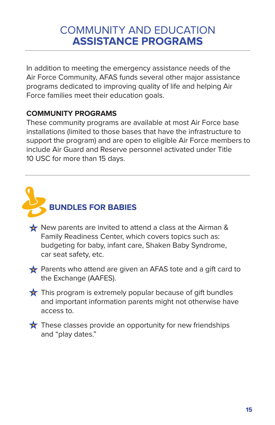## COMMUNITY AND EDUCATION **ASSISTANCE PROGRAMS**

In addition to meeting the emergency assistance needs of the Air Force Community, AFAS funds several other major assistance programs dedicated to improving quality of life and helping Air Force families meet their education goals.

#### **COMMUNITY PROGRAMS**

These community programs are available at most Air Force base installations (limited to those bases that have the infrastructure to support the program) and are open to eligible Air Force members to include Air Guard and Reserve personnel activated under Title 10 USC for more than 15 days.



- New parents are invited to attend a class at the Airman & Family Readiness Center, which covers topics such as: budgeting for baby, infant care, Shaken Baby Syndrome, car seat safety, etc.
- Parents who attend are given an AFAS tote and a gift card to the Exchange (AAFES).
- $\bigstar$  This program is extremely popular because of gift bundles and important information parents might not otherwise have access to.

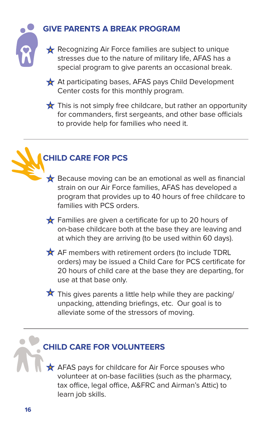

### **GIVE PARENTS A BREAK PROGRAM**

Recognizing Air Force families are subject to unique stresses due to the nature of military life, AFAS has a special program to give parents an occasional break.

At participating bases, AFAS pays Child Development Center costs for this monthly program.

 $\star$  This is not simply free childcare, but rather an opportunity for commanders, first sergeants, and other base officials to provide help for families who need it.

### **CHILD CARE FOR PCS**

 $\bigstar$  Because moving can be an emotional as well as financial strain on our Air Force families, AFAS has developed a program that provides up to 40 hours of free childcare to families with PCS orders.

 $\bigstar$  Families are given a certificate for up to 20 hours of on-base childcare both at the base they are leaving and at which they are arriving (to be used within 60 days).

 $\bigstar$  AF members with retirement orders (to include TDRL orders) may be issued a Child Care for PCS certificate for 20 hours of child care at the base they are departing, for use at that base only.

 $\star$  This gives parents a little help while they are packing/ unpacking, attending briefings, etc. Our goal is to alleviate some of the stressors of moving.

### **CHILD CARE FOR VOLUNTEERS**

AFAS pays for childcare for Air Force spouses who volunteer at on-base facilities (such as the pharmacy, tax office, legal office, A&FRC and Airman's Attic) to learn job skills.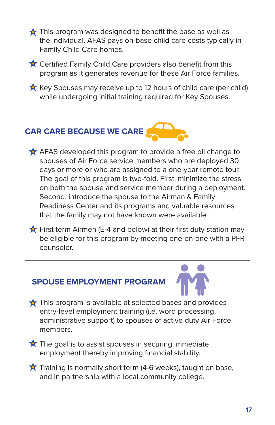$\bigstar$  This program was designed to benefit the base as well as the individual. AFAS pays on-base child care costs typically in Family Child Care homes.

 $\bigstar$  Certified Family Child Care providers also benefit from this program as it generates revenue for these Air Force families.

 $\star$  Key Spouses may receive up to 12 hours of child care (per child) while undergoing initial training required for Key Spouses.

# **CAR CARE BECAUSE WE CARE**

 $\bigstar$  AFAS developed this program to provide a free oil change to spouses of Air Force service members who are deployed 30 days or more or who are assigned to a one-year remote tour. The goal of this program is two-fold. First, minimize the stress on both the spouse and service member during a deployment. Second, introduce the spouse to the Airman & Family Readiness Center and its programs and valuable resources that the family may not have known were available.

 $\bigstar$  First term Airmen (E-4 and below) at their first duty station may be eligible for this program by meeting one-on-one with a PFR counselor.

## **SPOUSE EMPLOYMENT PROGRAM**



- $\bigstar$  This program is available at selected bases and provides entry-level employment training (i.e. word processing, administrative support) to spouses of active duty Air Force members.
- $\star$  The goal is to assist spouses in securing immediate employment thereby improving financial stability.
- $\bigstar$  Training is normally short term (4-6 weeks), taught on base, and in partnership with a local community college.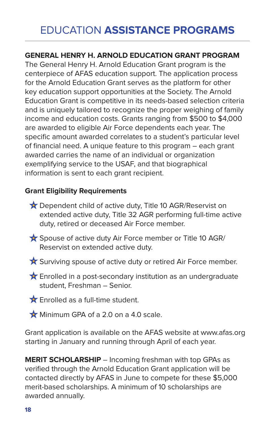# EDUCATION **ASSISTANCE PROGRAMS**

#### **GENERAL HENRY H. ARNOLD EDUCATION GRANT PROGRAM**

The General Henry H. Arnold Education Grant program is the centerpiece of AFAS education support. The application process for the Arnold Education Grant serves as the platform for other key education support opportunities at the Society. The Arnold Education Grant is competitive in its needs-based selection criteria and is uniquely tailored to recognize the proper weighing of family income and education costs. Grants ranging from \$500 to \$4,000 are awarded to eligible Air Force dependents each year. The specific amount awarded correlates to a student's particular level of financial need. A unique feature to this program – each grant awarded carries the name of an individual or organization exemplifying service to the USAF, and that biographical information is sent to each grant recipient.

#### **Grant Eligibility Requirements**

- ★ Dependent child of active duty, Title 10 AGR/Reservist on extended active duty, Title 32 AGR performing full-time active duty, retired or deceased Air Force member.
- Spouse of active duty Air Force member or Title 10 AGR/ Reservist on extended active duty.
- Surviving spouse of active duty or retired Air Force member.
- $\bigstar$  Enrolled in a post-secondary institution as an undergraduate student, Freshman – Senior.

**Enrolled as a full-time student.** 

Minimum GPA of a 2.0 on a 4.0 scale.

Grant application is available on the AFAS website at www.afas.org starting in January and running through April of each year.

**MERIT SCHOLARSHIP** – Incoming freshman with top GPAs as verified through the Arnold Education Grant application will be contacted directly by AFAS in June to compete for these \$5,000 merit-based scholarships. A minimum of 10 scholarships are awarded annually.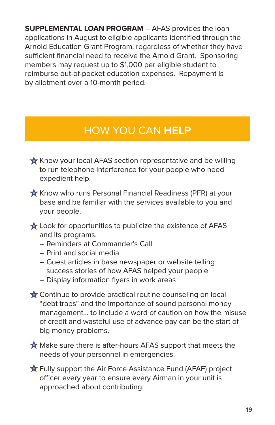**SUPPLEMENTAL LOAN PROGRAM** – AFAS provides the loan applications in August to eligible applicants identified through the Arnold Education Grant Program, regardless of whether they have sufficient financial need to receive the Arnold Grant. Sponsoring members may request up to \$1,000 per eligible student to reimburse out-of-pocket education expenses. Repayment is by allotment over a 10-month period.

# HOW YOU CAN **HELP**

- Know your local AFAS section representative and be willing to run telephone interference for your people who need expedient help.
- **K** Know who runs Personal Financial Readiness (PFR) at your base and be familiar with the services available to you and your people.
- Look for opportunities to publicize the existence of AFAS and its programs.
	- Reminders at Commander's Call
	- Print and social media
	- Guest articles in base newspaper or website telling success stories of how AFAS helped your people
	- Display information flyers in work areas
- ★ Continue to provide practical routine counseling on local "debt traps" and the importance of sound personal money management… to include a word of caution on how the misuse of credit and wasteful use of advance pay can be the start of big money problems.

Make sure there is after-hours AFAS support that meets the needs of your personnel in emergencies.

Fully support the Air Force Assistance Fund (AFAF) project officer every year to ensure every Airman in your unit is approached about contributing.